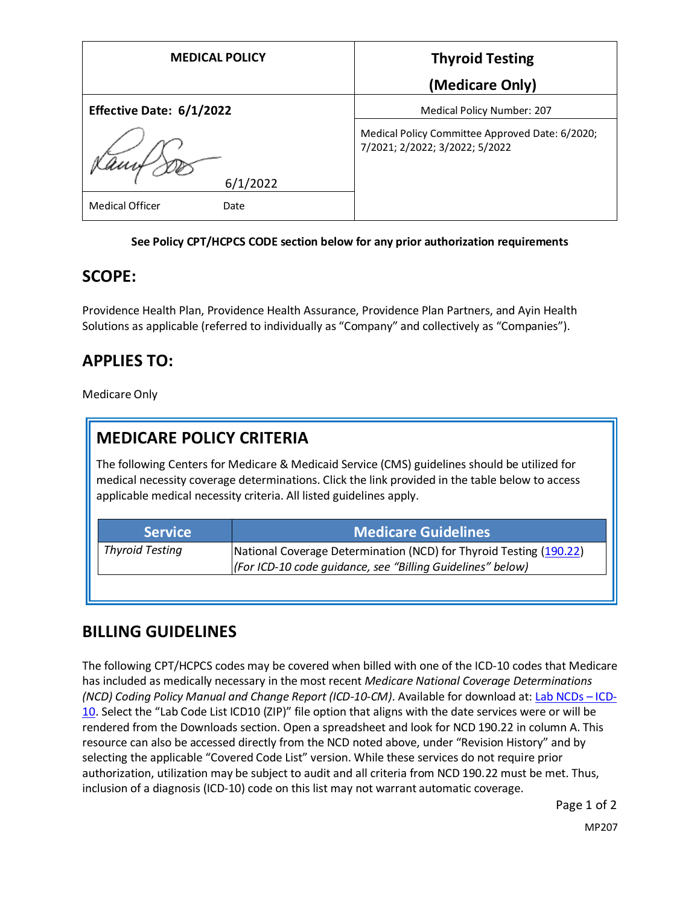| <b>MEDICAL POLICY</b>          | <b>Thyroid Testing</b>                                                            |
|--------------------------------|-----------------------------------------------------------------------------------|
|                                | (Medicare Only)                                                                   |
| Effective Date: 6/1/2022       | Medical Policy Number: 207                                                        |
| 6/1/2022                       | Medical Policy Committee Approved Date: 6/2020;<br>7/2021; 2/2022; 3/2022; 5/2022 |
| <b>Medical Officer</b><br>Date |                                                                                   |

#### **See Policy CPT/HCPCS CODE section below for any prior authorization requirements**

### **SCOPE:**

Providence Health Plan, Providence Health Assurance, Providence Plan Partners, and Ayin Health Solutions as applicable (referred to individually as "Company" and collectively as "Companies").

# **APPLIES TO:**

Medicare Only

# **MEDICARE POLICY CRITERIA**

The following Centers for Medicare & Medicaid Service (CMS) guidelines should be utilized for medical necessity coverage determinations. Click the link provided in the table below to access applicable medical necessity criteria. All listed guidelines apply.

| <b>Medicare Guidelines</b>                                                                                                       |
|----------------------------------------------------------------------------------------------------------------------------------|
| National Coverage Determination (NCD) for Thyroid Testing (190.22)<br>(For ICD-10 code quidance, see "Billing Guidelines" below) |
|                                                                                                                                  |

### **BILLING GUIDELINES**

The following CPT/HCPCS codes may be covered when billed with one of the ICD-10 codes that Medicare has included as medically necessary in the most recent *Medicare National Coverage Determinations (NCD) Coding Policy Manual and Change Report (ICD-10-CM)*. Available for download at: [Lab NCDs](https://www.cms.gov/Medicare/Coverage/CoverageGenInfo/LabNCDsICD10) – ICD-[10](https://www.cms.gov/Medicare/Coverage/CoverageGenInfo/LabNCDsICD10). Select the "Lab Code List ICD10 (ZIP)" file option that aligns with the date services were or will be rendered from the Downloads section. Open a spreadsheet and look for NCD 190.22 in column A. This resource can also be accessed directly from the NCD noted above, under "Revision History" and by selecting the applicable "Covered Code List" version. While these services do not require prior authorization, utilization may be subject to audit and all criteria from NCD 190.22 must be met. Thus, inclusion of a diagnosis (ICD-10) code on this list may not warrant automatic coverage.

Page 1 of 2